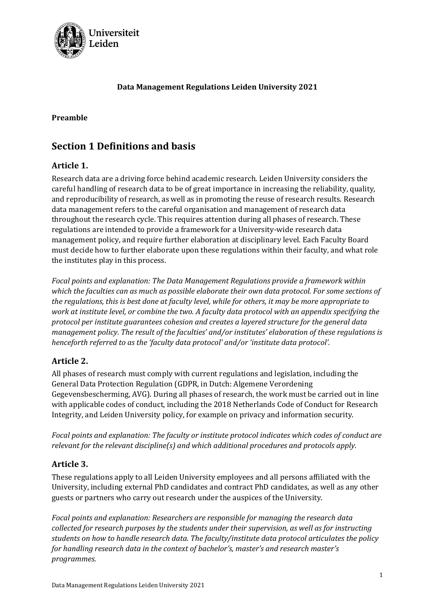

#### Data Management Regulations Leiden University 2021

#### Preamble

# Section 1 Definitions and basis

#### Article 1.

Research data are a driving force behind academic research. Leiden University considers the careful handling of research data to be of great importance in increasing the reliability, quality, and reproducibility of research, as well as in promoting the reuse of research results. Research data management refers to the careful organisation and management of research data throughout the research cycle. This requires attention during all phases of research. These regulations are intended to provide a framework for a University-wide research data management policy, and require further elaboration at disciplinary level. Each Faculty Board must decide how to further elaborate upon these regulations within their faculty, and what role the institutes play in this process.

Focal points and explanation: The Data Management Regulations provide a framework within which the faculties can as much as possible elaborate their own data protocol. For some sections of the regulations, this is best done at faculty level, while for others, it may be more appropriate to work at institute level, or combine the two. A faculty data protocol with an appendix specifying the protocol per institute guarantees cohesion and creates a layered structure for the general data management policy. The result of the faculties' and/or institutes' elaboration of these regulations is henceforth referred to as the 'faculty data protocol' and/or 'institute data protocol'.

#### Article 2.

All phases of research must comply with current regulations and legislation, including the General Data Protection Regulation (GDPR, in Dutch: Algemene Verordening Gegevensbescherming, AVG). During all phases of research, the work must be carried out in line with applicable codes of conduct, including the 2018 Netherlands Code of Conduct for Research Integrity, and Leiden University policy, for example on privacy and information security.

Focal points and explanation: The faculty or institute protocol indicates which codes of conduct are relevant for the relevant discipline(s) and which additional procedures and protocols apply.

#### Article 3.

These regulations apply to all Leiden University employees and all persons affiliated with the University, including external PhD candidates and contract PhD candidates, as well as any other guests or partners who carry out research under the auspices of the University.

Focal points and explanation: Researchers are responsible for managing the research data collected for research purposes by the students under their supervision, as well as for instructing students on how to handle research data. The faculty/institute data protocol articulates the policy for handling research data in the context of bachelor's, master's and research master's programmes.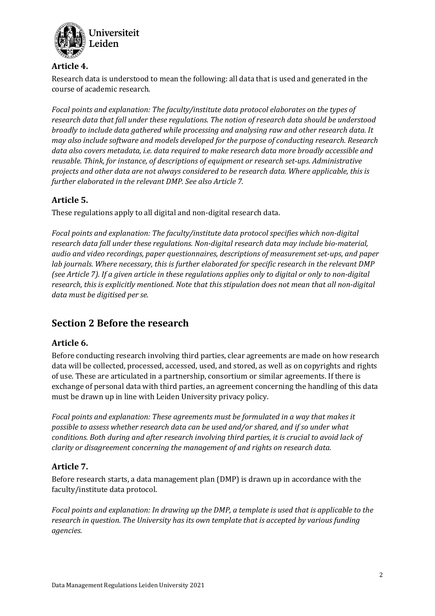

#### Article 4.

Research data is understood to mean the following: all data that is used and generated in the course of academic research.

Focal points and explanation: The faculty/institute data protocol elaborates on the types of research data that fall under these regulations. The notion of research data should be understood broadly to include data gathered while processing and analysing raw and other research data. It may also include software and models developed for the purpose of conducting research. Research data also covers metadata, i.e. data required to make research data more broadly accessible and reusable. Think, for instance, of descriptions of equipment or research set-ups. Administrative projects and other data are not always considered to be research data. Where applicable, this is further elaborated in the relevant DMP. See also Article 7.

## Article 5.

These regulations apply to all digital and non-digital research data.

Focal points and explanation: The faculty/institute data protocol specifies which non-digital research data fall under these regulations. Non-digital research data may include bio-material, audio and video recordings, paper questionnaires, descriptions of measurement set-ups, and paper lab journals. Where necessary, this is further elaborated for specific research in the relevant DMP (see Article 7). If a given article in these regulations applies only to digital or only to non-digital research, this is explicitly mentioned. Note that this stipulation does not mean that all non-digital data must be digitised per se.

# Section 2 Before the research

## Article 6.

Before conducting research involving third parties, clear agreements are made on how research data will be collected, processed, accessed, used, and stored, as well as on copyrights and rights of use. These are articulated in a partnership, consortium or similar agreements. If there is exchange of personal data with third parties, an agreement concerning the handling of this data must be drawn up in line with Leiden University privacy policy.

Focal points and explanation: These agreements must be formulated in a way that makes it possible to assess whether research data can be used and/or shared, and if so under what conditions. Both during and after research involving third parties, it is crucial to avoid lack of clarity or disagreement concerning the management of and rights on research data.

## Article 7.

Before research starts, a data management plan (DMP) is drawn up in accordance with the faculty/institute data protocol.

Focal points and explanation: In drawing up the DMP, a template is used that is applicable to the research in question. The University has its own template that is accepted by various funding agencies.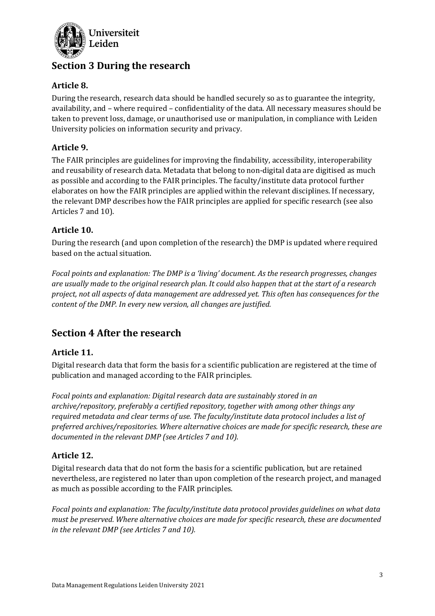

# Section 3 During the research

## Article 8.

During the research, research data should be handled securely so as to guarantee the integrity, availability, and – where required – confidentiality of the data. All necessary measures should be taken to prevent loss, damage, or unauthorised use or manipulation, in compliance with Leiden University policies on information security and privacy.

#### Article 9.

The FAIR principles are guidelines for improving the findability, accessibility, interoperability and reusability of research data. Metadata that belong to non-digital data are digitised as much as possible and according to the FAIR principles. The faculty/institute data protocol further elaborates on how the FAIR principles are applied within the relevant disciplines. If necessary, the relevant DMP describes how the FAIR principles are applied for specific research (see also Articles 7 and 10).

#### Article 10.

During the research (and upon completion of the research) the DMP is updated where required based on the actual situation.

Focal points and explanation: The DMP is a 'living' document. As the research progresses, changes are usually made to the original research plan. It could also happen that at the start of a research project, not all aspects of data management are addressed yet. This often has consequences for the content of the DMP. In every new version, all changes are justified.

# Section 4 After the research

## Article 11.

Digital research data that form the basis for a scientific publication are registered at the time of publication and managed according to the FAIR principles.

Focal points and explanation: Digital research data are sustainably stored in an archive/repository, preferably a certified repository, together with among other things any required metadata and clear terms of use. The faculty/institute data protocol includes a list of preferred archives/repositories. Where alternative choices are made for specific research, these are documented in the relevant DMP (see Articles 7 and 10).

## Article 12.

Digital research data that do not form the basis for a scientific publication, but are retained nevertheless, are registered no later than upon completion of the research project, and managed as much as possible according to the FAIR principles.

Focal points and explanation: The faculty/institute data protocol provides guidelines on what data must be preserved. Where alternative choices are made for specific research, these are documented in the relevant DMP (see Articles 7 and 10).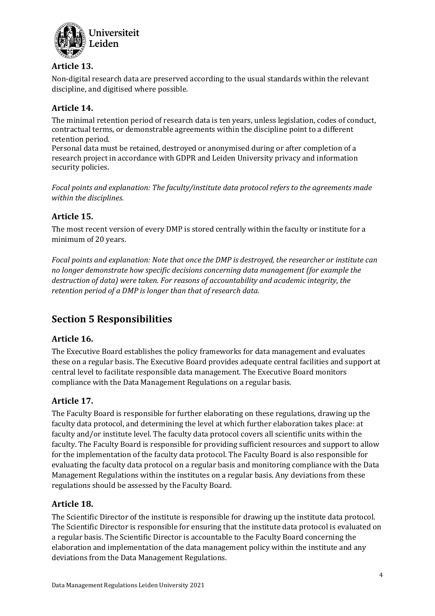

#### Article 13.

Non-digital research data are preserved according to the usual standards within the relevant discipline, and digitised where possible.

## Article 14.

The minimal retention period of research data is ten years, unless legislation, codes of conduct, contractual terms, or demonstrable agreements within the discipline point to a different retention period.

Personal data must be retained, destroyed or anonymised during or after completion of a research project in accordance with GDPR and Leiden University privacy and information security policies.

Focal points and explanation: The faculty/institute data protocol refers to the agreements made within the disciplines.

# Article 15.

The most recent version of every DMP is stored centrally within the faculty or institute for a minimum of 20 years.

Focal points and explanation: Note that once the DMP is destroyed, the researcher or institute can no longer demonstrate how specific decisions concerning data management (for example the destruction of data) were taken. For reasons of accountability and academic integrity, the retention period of a DMP is longer than that of research data.

# Section 5 Responsibilities

## Article 16.

The Executive Board establishes the policy frameworks for data management and evaluates these on a regular basis. The Executive Board provides adequate central facilities and support at central level to facilitate responsible data management. The Executive Board monitors compliance with the Data Management Regulations on a regular basis.

#### Article 17.

The Faculty Board is responsible for further elaborating on these regulations, drawing up the faculty data protocol, and determining the level at which further elaboration takes place: at faculty and/or institute level. The faculty data protocol covers all scientific units within the faculty. The Faculty Board is responsible for providing sufficient resources and support to allow for the implementation of the faculty data protocol. The Faculty Board is also responsible for evaluating the faculty data protocol on a regular basis and monitoring compliance with the Data Management Regulations within the institutes on a regular basis. Any deviations from these regulations should be assessed by the Faculty Board.

#### Article 18.

The Scientific Director of the institute is responsible for drawing up the institute data protocol. The Scientific Director is responsible for ensuring that the institute data protocol is evaluated on a regular basis. The Scientific Director is accountable to the Faculty Board concerning the elaboration and implementation of the data management policy within the institute and any deviations from the Data Management Regulations.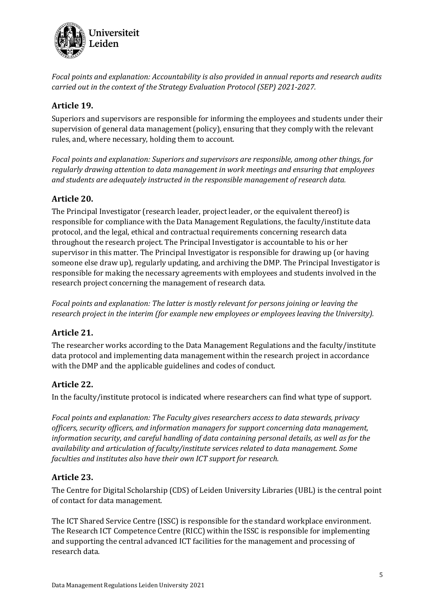

Focal points and explanation: Accountability is also provided in annual reports and research audits carried out in the context of the Strategy Evaluation Protocol (SEP) 2021-2027.

## Article 19.

Superiors and supervisors are responsible for informing the employees and students under their supervision of general data management (policy), ensuring that they comply with the relevant rules, and, where necessary, holding them to account.

Focal points and explanation: Superiors and supervisors are responsible, among other things, for regularly drawing attention to data management in work meetings and ensuring that employees and students are adequately instructed in the responsible management of research data.

## Article 20.

The Principal Investigator (research leader, project leader, or the equivalent thereof) is responsible for compliance with the Data Management Regulations, the faculty/institute data protocol, and the legal, ethical and contractual requirements concerning research data throughout the research project. The Principal Investigator is accountable to his or her supervisor in this matter. The Principal Investigator is responsible for drawing up (or having someone else draw up), regularly updating, and archiving the DMP. The Principal Investigator is responsible for making the necessary agreements with employees and students involved in the research project concerning the management of research data.

Focal points and explanation: The latter is mostly relevant for persons joining or leaving the research project in the interim (for example new employees or employees leaving the University).

## Article 21.

The researcher works according to the Data Management Regulations and the faculty/institute data protocol and implementing data management within the research project in accordance with the DMP and the applicable guidelines and codes of conduct.

## Article 22.

In the faculty/institute protocol is indicated where researchers can find what type of support.

Focal points and explanation: The Faculty gives researchers access to data stewards, privacy officers, security officers, and information managers for support concerning data management, information security, and careful handling of data containing personal details, as well as for the availability and articulation of faculty/institute services related to data management. Some faculties and institutes also have their own ICT support for research.

## Article 23.

The Centre for Digital Scholarship (CDS) of Leiden University Libraries (UBL) is the central point of contact for data management.

The ICT Shared Service Centre (ISSC) is responsible for the standard workplace environment. The Research ICT Competence Centre (RICC) within the ISSC is responsible for implementing and supporting the central advanced ICT facilities for the management and processing of research data.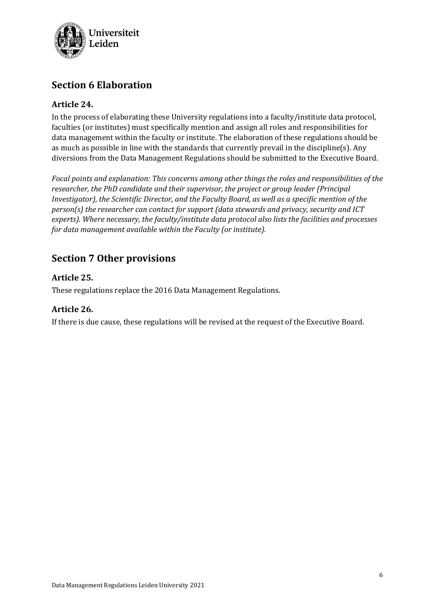

# Section 6 Elaboration

#### Article 24.

In the process of elaborating these University regulations into a faculty/institute data protocol, faculties (or institutes) must specifically mention and assign all roles and responsibilities for data management within the faculty or institute. The elaboration of these regulations should be as much as possible in line with the standards that currently prevail in the discipline(s). Any diversions from the Data Management Regulations should be submitted to the Executive Board.

Focal points and explanation: This concerns among other things the roles and responsibilities of the researcher, the PhD candidate and their supervisor, the project or group leader (Principal Investigator), the Scientific Director, and the Faculty Board, as well as a specific mention of the person(s) the researcher can contact for support (data stewards and privacy, security and ICT experts). Where necessary, the faculty/institute data protocol also lists the facilities and processes for data management available within the Faculty (or institute).

# Section 7 Other provisions

#### Article 25.

These regulations replace the 2016 Data Management Regulations.

#### Article 26.

If there is due cause, these regulations will be revised at the request of the Executive Board.